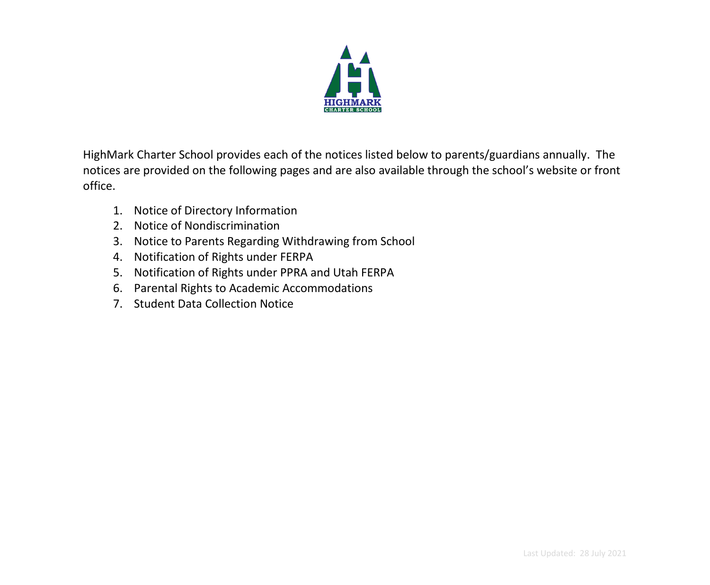

HighMark Charter School provides each of the notices listed below to parents/guardians annually. The notices are provided on the following pages and are also available through the school's website or front office.

- 1. Notice of Directory Information
- 2. Notice of Nondiscrimination
- 3. Notice to Parents Regarding Withdrawing from School
- 4. Notification of Rights under FERPA
- 5. Notification of Rights under PPRA and Utah FERPA
- 6. Parental Rights to Academic Accommodations
- 7. Student Data Collection Notice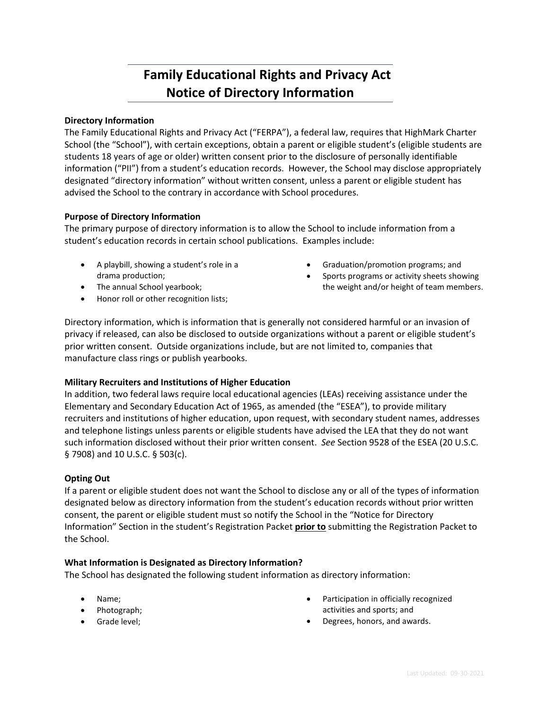# **1\_Family Educational Rights and Privacy Act Notice of Directory Information**

### **Directory Information**

The Family Educational Rights and Privacy Act ("FERPA"), a federal law, requires that HighMark Charter School (the "School"), with certain exceptions, obtain a parent or eligible student's (eligible students are students 18 years of age or older) written consent prior to the disclosure of personally identifiable information ("PII") from a student's education records. However, the School may disclose appropriately designated "directory information" without written consent, unless a parent or eligible student has advised the School to the contrary in accordance with School procedures.

### **Purpose of Directory Information**

The primary purpose of directory information is to allow the School to include information from a student's education records in certain school publications. Examples include:

- A playbill, showing a student's role in a drama production;
- The annual School yearbook;
- Graduation/promotion programs; and
- Sports programs or activity sheets showing the weight and/or height of team members.

• Honor roll or other recognition lists;

Directory information, which is information that is generally not considered harmful or an invasion of privacy if released, can also be disclosed to outside organizations without a parent or eligible student's prior written consent. Outside organizations include, but are not limited to, companies that manufacture class rings or publish yearbooks.

#### **Military Recruiters and Institutions of Higher Education**

In addition, two federal laws require local educational agencies (LEAs) receiving assistance under the Elementary and Secondary Education Act of 1965, as amended (the "ESEA"), to provide military recruiters and institutions of higher education, upon request, with secondary student names, addresses and telephone listings unless parents or eligible students have advised the LEA that they do not want such information disclosed without their prior written consent. *See* Section 9528 of the ESEA (20 U.S.C. § 7908) and 10 U.S.C. § 503(c).

#### **Opting Out**

If a parent or eligible student does not want the School to disclose any or all of the types of information designated below as directory information from the student's education records without prior written consent, the parent or eligible student must so notify the School in the "Notice for Directory Information" Section in the student's Registration Packet **prior to** submitting the Registration Packet to the School.

#### **What Information is Designated as Directory Information?**

The School has designated the following student information as directory information:

- Name;
- Photograph;
- Grade level;
- Participation in officially recognized activities and sports; and
- Degrees, honors, and awards.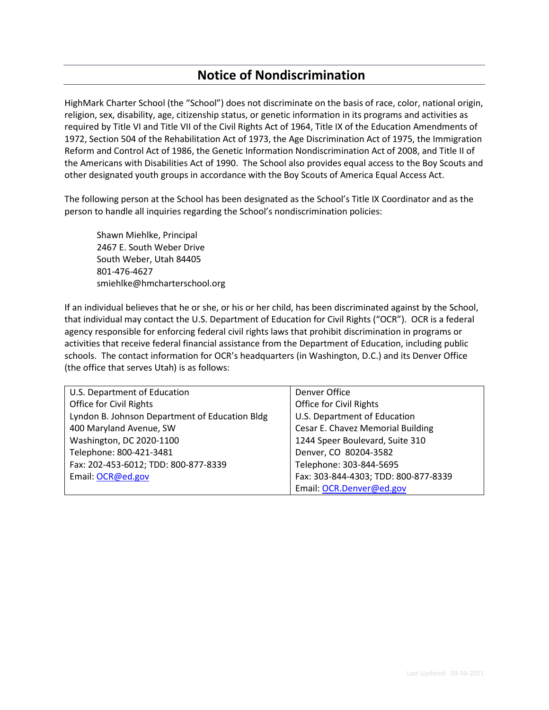## **2\_Notice of Nondiscrimination**

HighMark Charter School (the "School") does not discriminate on the basis of race, color, national origin, religion, sex, disability, age, citizenship status, or genetic information in its programs and activities as required by Title VI and Title VII of the Civil Rights Act of 1964, Title IX of the Education Amendments of 1972, Section 504 of the Rehabilitation Act of 1973, the Age Discrimination Act of 1975, the Immigration Reform and Control Act of 1986, the Genetic Information Nondiscrimination Act of 2008, and Title II of the Americans with Disabilities Act of 1990. The School also provides equal access to the Boy Scouts and other designated youth groups in accordance with the Boy Scouts of America Equal Access Act.

The following person at the School has been designated as the School's Title IX Coordinator and as the person to handle all inquiries regarding the School's nondiscrimination policies:

Shawn Miehlke, Principal 2467 E. South Weber Drive South Weber, Utah 84405 801-476-4627 smiehlke@hmcharterschool.org

If an individual believes that he or she, or his or her child, has been discriminated against by the School, that individual may contact the U.S. Department of Education for Civil Rights ("OCR"). OCR is a federal agency responsible for enforcing federal civil rights laws that prohibit discrimination in programs or activities that receive federal financial assistance from the Department of Education, including public schools. The contact information for OCR's headquarters (in Washington, D.C.) and its Denver Office (the office that serves Utah) is as follows:

| U.S. Department of Education                   | Denver Office                        |
|------------------------------------------------|--------------------------------------|
| Office for Civil Rights                        | Office for Civil Rights              |
| Lyndon B. Johnson Department of Education Bldg | U.S. Department of Education         |
| 400 Maryland Avenue, SW                        | Cesar E. Chavez Memorial Building    |
| Washington, DC 2020-1100                       | 1244 Speer Boulevard, Suite 310      |
| Telephone: 800-421-3481                        | Denver, CO 80204-3582                |
| Fax: 202-453-6012; TDD: 800-877-8339           | Telephone: 303-844-5695              |
| Email: OCR@ed.gov                              | Fax: 303-844-4303; TDD: 800-877-8339 |
|                                                | Email: OCR.Denver@ed.gov             |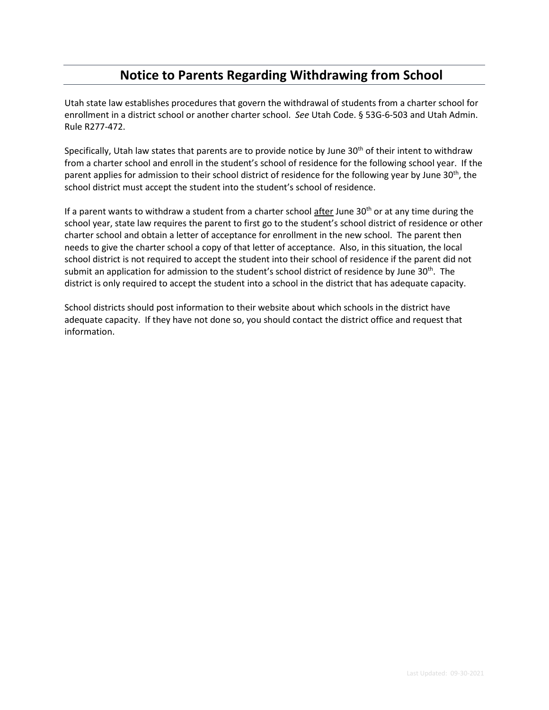## **3\_Notice to Parents Regarding Withdrawing from School**

Utah state law establishes procedures that govern the withdrawal of students from a charter school for enrollment in a district school or another charter school. *See* Utah Code. § 53G-6-503 and Utah Admin. Rule R277-472.

Specifically, Utah law states that parents are to provide notice by June 30<sup>th</sup> of their intent to withdraw from a charter school and enroll in the student's school of residence for the following school year. If the parent applies for admission to their school district of residence for the following year by June 30<sup>th</sup>, the school district must accept the student into the student's school of residence.

If a parent wants to withdraw a student from a charter school  $\frac{a}{a}$  fter June 30<sup>th</sup> or at any time during the school year, state law requires the parent to first go to the student's school district of residence or other charter school and obtain a letter of acceptance for enrollment in the new school. The parent then needs to give the charter school a copy of that letter of acceptance. Also, in this situation, the local school district is not required to accept the student into their school of residence if the parent did not submit an application for admission to the student's school district of residence by June  $30<sup>th</sup>$ . The district is only required to accept the student into a school in the district that has adequate capacity.

School districts should post information to their website about which schools in the district have adequate capacity. If they have not done so, you should contact the district office and request that information.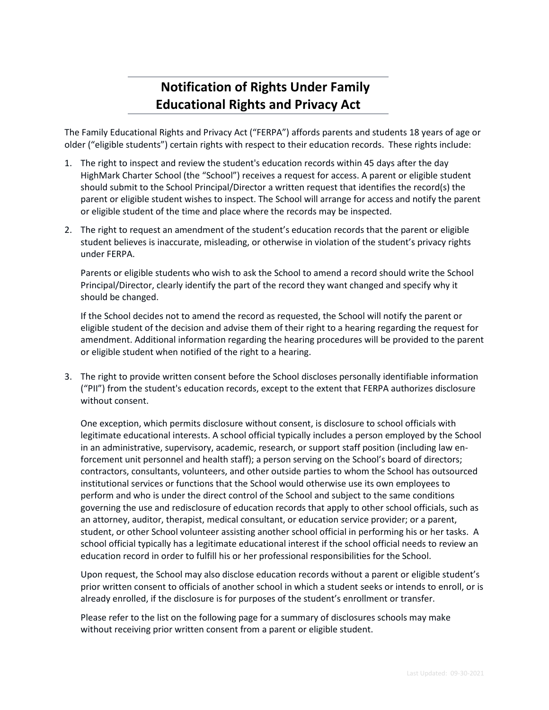# **4\_Notification of Rights Under Family Educational Rights and Privacy Act**

The Family Educational Rights and Privacy Act ("FERPA") affords parents and students 18 years of age or older ("eligible students") certain rights with respect to their education records. These rights include:

- 1. The right to inspect and review the student's education records within 45 days after the day HighMark Charter School (the "School") receives a request for access. A parent or eligible student should submit to the School Principal/Director a written request that identifies the record(s) the parent or eligible student wishes to inspect. The School will arrange for access and notify the parent or eligible student of the time and place where the records may be inspected.
- 2. The right to request an amendment of the student's education records that the parent or eligible student believes is inaccurate, misleading, or otherwise in violation of the student's privacy rights under FERPA.

Parents or eligible students who wish to ask the School to amend a record should write the School Principal/Director, clearly identify the part of the record they want changed and specify why it should be changed.

If the School decides not to amend the record as requested, the School will notify the parent or eligible student of the decision and advise them of their right to a hearing regarding the request for amendment. Additional information regarding the hearing procedures will be provided to the parent or eligible student when notified of the right to a hearing.

3. The right to provide written consent before the School discloses personally identifiable information ("PII") from the student's education records, except to the extent that FERPA authorizes disclosure without consent.

One exception, which permits disclosure without consent, is disclosure to school officials with legitimate educational interests. A school official typically includes a person employed by the School in an administrative, supervisory, academic, research, or support staff position (including law enforcement unit personnel and health staff); a person serving on the School's board of directors; contractors, consultants, volunteers, and other outside parties to whom the School has outsourced institutional services or functions that the School would otherwise use its own employees to perform and who is under the direct control of the School and subject to the same conditions governing the use and redisclosure of education records that apply to other school officials, such as an attorney, auditor, therapist, medical consultant, or education service provider; or a parent, student, or other School volunteer assisting another school official in performing his or her tasks. A school official typically has a legitimate educational interest if the school official needs to review an education record in order to fulfill his or her professional responsibilities for the School.

Upon request, the School may also disclose education records without a parent or eligible student's prior written consent to officials of another school in which a student seeks or intends to enroll, or is already enrolled, if the disclosure is for purposes of the student's enrollment or transfer.

Please refer to the list on the following page for a summary of disclosures schools may make without receiving prior written consent from a parent or eligible student.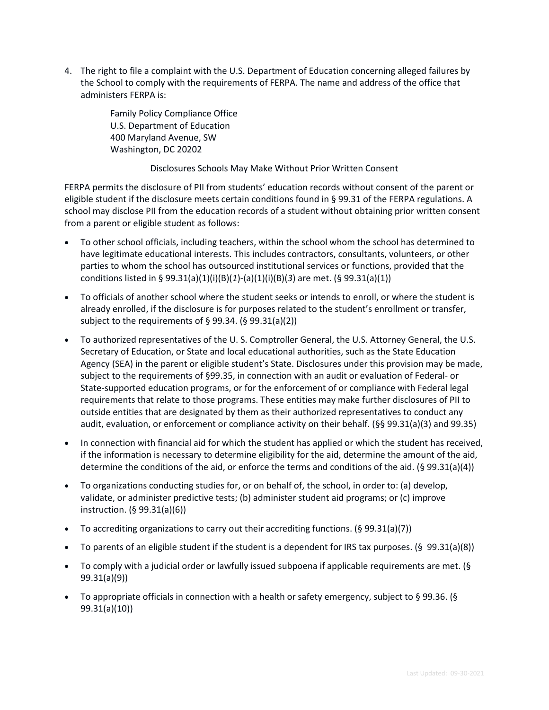4. The right to file a complaint with the U.S. Department of Education concerning alleged failures by the School to comply with the requirements of FERPA. The name and address of the office that administers FERPA is:

> Family Policy Compliance Office U.S. Department of Education 400 Maryland Avenue, SW Washington, DC 20202

### Disclosures Schools May Make Without Prior Written Consent

FERPA permits the disclosure of PII from students' education records without consent of the parent or eligible student if the disclosure meets certain conditions found in § 99.31 of the FERPA regulations. A school may disclose PII from the education records of a student without obtaining prior written consent from a parent or eligible student as follows:

- To other school officials, including teachers, within the school whom the school has determined to have legitimate educational interests. This includes contractors, consultants, volunteers, or other parties to whom the school has outsourced institutional services or functions, provided that the conditions listed in § 99.31(a)(1)(i)(B)(*1*)-(a)(1)(i)(B)(*3*) are met. (§ 99.31(a)(1))
- To officials of another school where the student seeks or intends to enroll, or where the student is already enrolled, if the disclosure is for purposes related to the student's enrollment or transfer, subject to the requirements of § 99.34. (§ 99.31(a)(2))
- To authorized representatives of the U. S. Comptroller General, the U.S. Attorney General, the U.S. Secretary of Education, or State and local educational authorities, such as the State Education Agency (SEA) in the parent or eligible student's State. Disclosures under this provision may be made, subject to the requirements of §99.35, in connection with an audit or evaluation of Federal- or State-supported education programs, or for the enforcement of or compliance with Federal legal requirements that relate to those programs. These entities may make further disclosures of PII to outside entities that are designated by them as their authorized representatives to conduct any audit, evaluation, or enforcement or compliance activity on their behalf. (§§ 99.31(a)(3) and 99.35)
- In connection with financial aid for which the student has applied or which the student has received, if the information is necessary to determine eligibility for the aid, determine the amount of the aid, determine the conditions of the aid, or enforce the terms and conditions of the aid. (§ 99.31(a)(4))
- To organizations conducting studies for, or on behalf of, the school, in order to: (a) develop, validate, or administer predictive tests; (b) administer student aid programs; or (c) improve instruction. (§ 99.31(a)(6))
- To accrediting organizations to carry out their accrediting functions. (§ 99.31(a)(7))
- To parents of an eligible student if the student is a dependent for IRS tax purposes. (§ 99.31(a)(8))
- To comply with a judicial order or lawfully issued subpoena if applicable requirements are met. (§ 99.31(a)(9))
- To appropriate officials in connection with a health or safety emergency, subject to § 99.36. (§ 99.31(a)(10))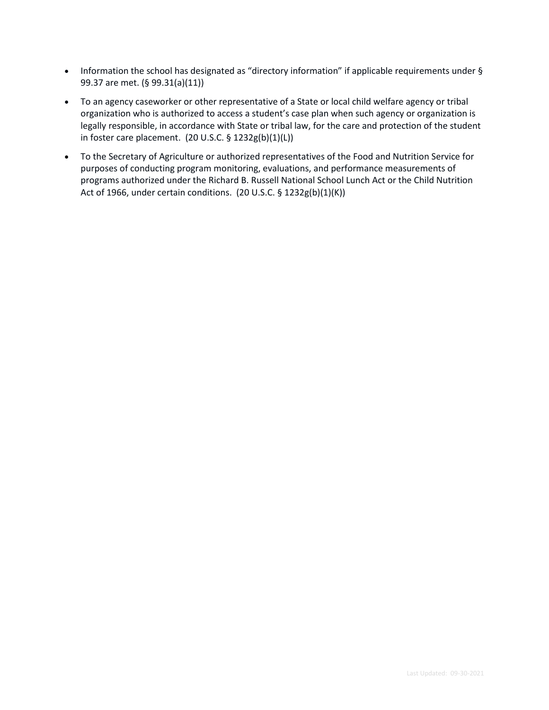- Information the school has designated as "directory information" if applicable requirements under § 99.37 are met. (§ 99.31(a)(11))
- To an agency caseworker or other representative of a State or local child welfare agency or tribal organization who is authorized to access a student's case plan when such agency or organization is legally responsible, in accordance with State or tribal law, for the care and protection of the student in foster care placement. (20 U.S.C. § 1232g(b)(1)(L))
- To the Secretary of Agriculture or authorized representatives of the Food and Nutrition Service for purposes of conducting program monitoring, evaluations, and performance measurements of programs authorized under the Richard B. Russell National School Lunch Act or the Child Nutrition Act of 1966, under certain conditions. (20 U.S.C. § 1232g(b)(1)(K))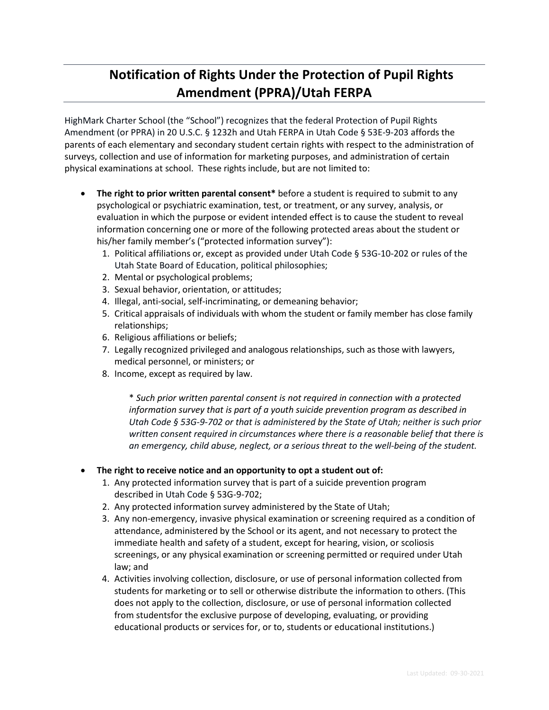# **5\_Notification of Rights Under the Protection of Pupil Rights Amendment (PPRA)/Utah FERPA**

HighMark Charter School (the "School") recognizes that the federal Protection of Pupil Rights Amendment (or PPRA) in 20 U.S.C. § 1232h and Utah FERPA in Utah Code § 53E-9-203 affords the parents of each elementary and secondary student certain rights with respect to the administration of surveys, collection and use of information for marketing purposes, and administration of certain physical examinations at school. These rights include, but are not limited to:

- **The right to prior written parental consent\*** before a student is required to submit to any psychological or psychiatric examination, test, or treatment, or any survey, analysis, or evaluation in which the purpose or evident intended effect is to cause the student to reveal information concerning one or more of the following protected areas about the student or his/her family member's ("protected information survey"):
	- 1. Political affiliations or, except as provided under Utah Code § 53G-10-202 or rules of the Utah State Board of Education, political philosophies;
	- 2. Mental or psychological problems;
	- 3. Sexual behavior, orientation, or attitudes;
	- 4. Illegal, anti-social, self-incriminating, or demeaning behavior;
	- 5. Critical appraisals of individuals with whom the student or family member has close family relationships;
	- 6. Religious affiliations or beliefs;
	- 7. Legally recognized privileged and analogous relationships, such as those with lawyers, medical personnel, or ministers; or
	- 8. Income, except as required by law.

\* *Such prior written parental consent is not required in connection with a protected information survey that is part of a youth suicide prevention program as described in Utah Code § 53G-9-702 or that is administered by the State of Utah; neither is such prior written consent required in circumstances where there is a reasonable belief that there is an emergency, child abuse, neglect, or a serious threat to the well-being of the student.* 

### • **The right to receive notice and an opportunity to opt a student out of:**

- 1. Any protected information survey that is part of a suicide prevention program described in Utah Code § 53G-9-702;
- 2. Any protected information survey administered by the State of Utah;
- 3. Any non-emergency, invasive physical examination or screening required as a condition of attendance, administered by the School or its agent, and not necessary to protect the immediate health and safety of a student, except for hearing, vision, or scoliosis screenings, or any physical examination or screening permitted or required under Utah law; and
- 4. Activities involving collection, disclosure, or use of personal information collected from students for marketing or to sell or otherwise distribute the information to others. (This does not apply to the collection, disclosure, or use of personal information collected from studentsfor the exclusive purpose of developing, evaluating, or providing educational products or services for, or to, students or educational institutions.)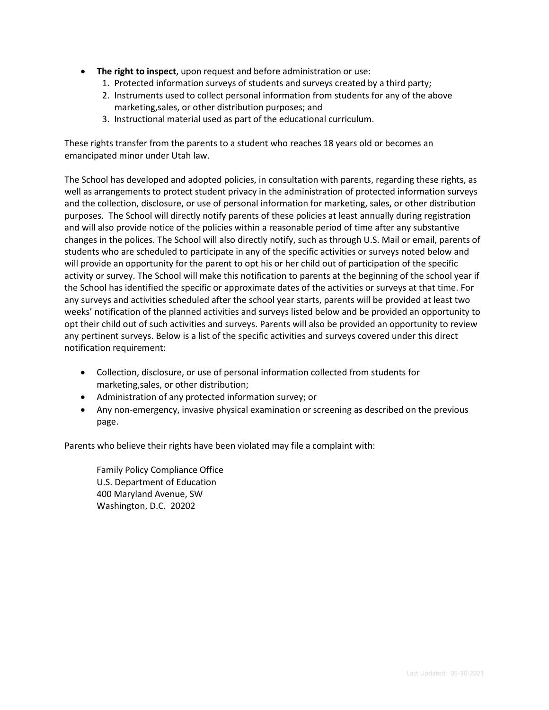- **The right to inspect**, upon request and before administration or use:
	- 1. Protected information surveys of students and surveys created by a third party;
	- 2. Instruments used to collect personal information from students for any of the above marketing,sales, or other distribution purposes; and
	- 3. Instructional material used as part of the educational curriculum.

These rights transfer from the parents to a student who reaches 18 years old or becomes an emancipated minor under Utah law.

The School has developed and adopted policies, in consultation with parents, regarding these rights, as well as arrangements to protect student privacy in the administration of protected information surveys and the collection, disclosure, or use of personal information for marketing, sales, or other distribution purposes. The School will directly notify parents of these policies at least annually during registration and will also provide notice of the policies within a reasonable period of time after any substantive changes in the polices. The School will also directly notify, such as through U.S. Mail or email, parents of students who are scheduled to participate in any of the specific activities or surveys noted below and will provide an opportunity for the parent to opt his or her child out of participation of the specific activity or survey. The School will make this notification to parents at the beginning of the school year if the School has identified the specific or approximate dates of the activities or surveys at that time. For any surveys and activities scheduled after the school year starts, parents will be provided at least two weeks' notification of the planned activities and surveys listed below and be provided an opportunity to opt their child out of such activities and surveys. Parents will also be provided an opportunity to review any pertinent surveys. Below is a list of the specific activities and surveys covered under this direct notification requirement:

- Collection, disclosure, or use of personal information collected from students for marketing,sales, or other distribution;
- Administration of any protected information survey; or
- Any non-emergency, invasive physical examination or screening as described on the previous page.

Parents who believe their rights have been violated may file a complaint with:

Family Policy Compliance Office U.S. Department of Education 400 Maryland Avenue, SW Washington, D.C. 20202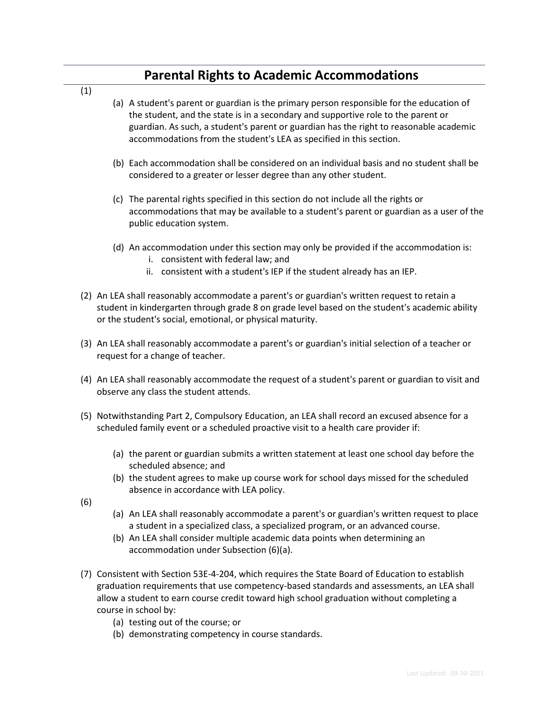## **6\_Parental Rights to Academic Accommodations**

(1)

- (a) A student's parent or guardian is the primary person responsible for the education of the student, and the state is in a secondary and supportive role to the parent or guardian. As such, a student's parent or guardian has the right to reasonable academic accommodations from the student's LEA as specified in this section.
- (b) Each accommodation shall be considered on an individual basis and no student shall be considered to a greater or lesser degree than any other student.
- (c) The parental rights specified in this section do not include all the rights or accommodations that may be available to a student's parent or guardian as a user of the public education system.
- (d) An accommodation under this section may only be provided if the accommodation is:
	- i. consistent with federal law; and
	- ii. consistent with a student's IEP if the student already has an IEP.
- (2) An LEA shall reasonably accommodate a parent's or guardian's written request to retain a student in kindergarten through grade 8 on grade level based on the student's academic ability or the student's social, emotional, or physical maturity.
- (3) An LEA shall reasonably accommodate a parent's or guardian's initial selection of a teacher or request for a change of teacher.
- (4) An LEA shall reasonably accommodate the request of a student's parent or guardian to visit and observe any class the student attends.
- (5) Notwithstanding Part 2, Compulsory Education, an LEA shall record an excused absence for a scheduled family event or a scheduled proactive visit to a health care provider if:
	- (a) the parent or guardian submits a written statement at least one school day before the scheduled absence; and
	- (b) the student agrees to make up course work for school days missed for the scheduled absence in accordance with LEA policy.
- (6)
- (a) An LEA shall reasonably accommodate a parent's or guardian's written request to place a student in a specialized class, a specialized program, or an advanced course.
- (b) An LEA shall consider multiple academic data points when determining an accommodation under Subsection (6)(a).
- (7) Consistent with Section 53E-4-204, which requires the State Board of Education to establish graduation requirements that use competency-based standards and assessments, an LEA shall allow a student to earn course credit toward high school graduation without completing a course in school by:
	- (a) testing out of the course; or
	- (b) demonstrating competency in course standards.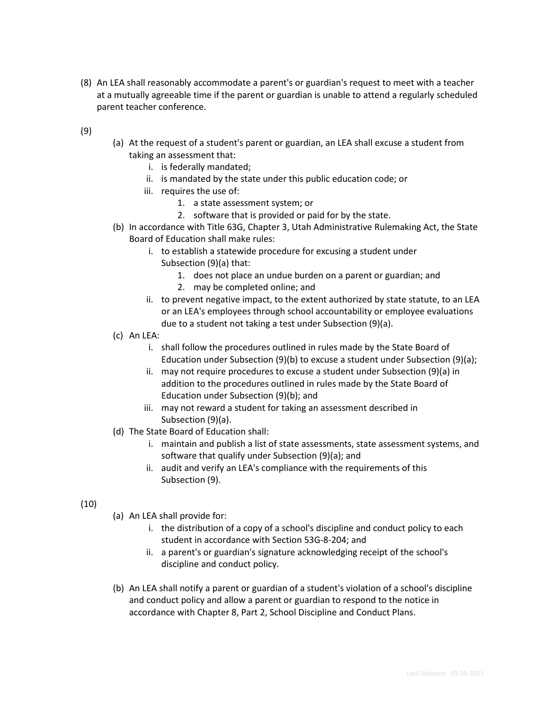- (8) An LEA shall reasonably accommodate a parent's or guardian's request to meet with a teacher at a mutually agreeable time if the parent or guardian is unable to attend a regularly scheduled parent teacher conference.
- (9)
- (a) At the request of a student's parent or guardian, an LEA shall excuse a student from taking an assessment that:
	- i. is federally mandated;
	- ii. is mandated by the state under this public education code; or
	- iii. requires the use of:
		- 1. a state assessment system; or
		- 2. software that is provided or paid for by the state.
- (b) In accordance with Title 63G, Chapter 3, Utah Administrative Rulemaking Act, the State Board of Education shall make rules:
	- i. to establish a statewide procedure for excusing a student under Subsection (9)(a) that:
		- 1. does not place an undue burden on a parent or guardian; and
		- 2. may be completed online; and
	- ii. to prevent negative impact, to the extent authorized by state statute, to an LEA or an LEA's employees through school accountability or employee evaluations due to a student not taking a test under Subsection (9)(a).
- (c) An LEA:
	- i. shall follow the procedures outlined in rules made by the State Board of Education under Subsection (9)(b) to excuse a student under Subsection (9)(a);
	- ii. may not require procedures to excuse a student under Subsection (9)(a) in addition to the procedures outlined in rules made by the State Board of Education under Subsection (9)(b); and
	- iii. may not reward a student for taking an assessment described in Subsection (9)(a).
- (d) The State Board of Education shall:
	- i. maintain and publish a list of state assessments, state assessment systems, and software that qualify under Subsection (9)(a); and
	- ii. audit and verify an LEA's compliance with the requirements of this Subsection (9).

### (10)

- (a) An LEA shall provide for:
	- i. the distribution of a copy of a school's discipline and conduct policy to each student in accordance with Section 53G-8-204; and
	- ii. a parent's or guardian's signature acknowledging receipt of the school's discipline and conduct policy.
- (b) An LEA shall notify a parent or guardian of a student's violation of a school's discipline and conduct policy and allow a parent or guardian to respond to the notice in accordance with Chapter 8, Part 2, School Discipline and Conduct Plans.